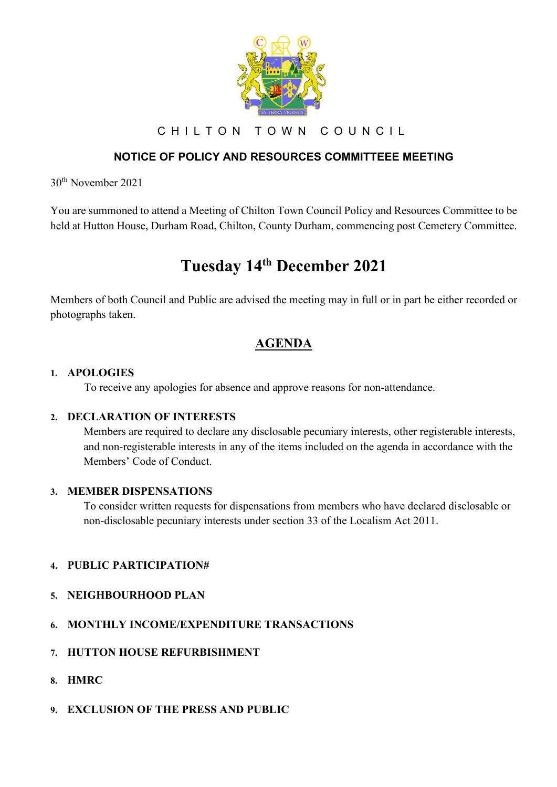

CHILTON TOWN COUNCIL

## **NOTICE OF POLICY AND RESOURCES COMMITTEEE MEETING**

30th November 2021

You are summoned to attend a Meeting of Chilton Town Council Policy and Resources Committee to be held at Hutton House, Durham Road, Chilton, County Durham, commencing post Cemetery Committee.

# **Tuesday 14th December 2021**

Members of both Council and Public are advised the meeting may in full or in part be either recorded or photographs taken.

# **AGENDA**

#### **1. APOLOGIES**

To receive any apologies for absence and approve reasons for non-attendance.

#### **2. DECLARATION OF INTERESTS**

Members are required to declare any disclosable pecuniary interests, other registerable interests, and non-registerable interests in any of the items included on the agenda in accordance with the Members' Code of Conduct.

#### **3. MEMBER DISPENSATIONS**

To consider written requests for dispensations from members who have declared disclosable or non-disclosable pecuniary interests under section 33 of the Localism Act 2011.

#### **4. PUBLIC PARTICIPATION#**

- **5. NEIGHBOURHOOD PLAN**
- **6. MONTHLY INCOME/EXPENDITURE TRANSACTIONS**
- **7. HUTTON HOUSE REFURBISHMENT**
- **8. HMRC**
- **9. EXCLUSION OF THE PRESS AND PUBLIC**